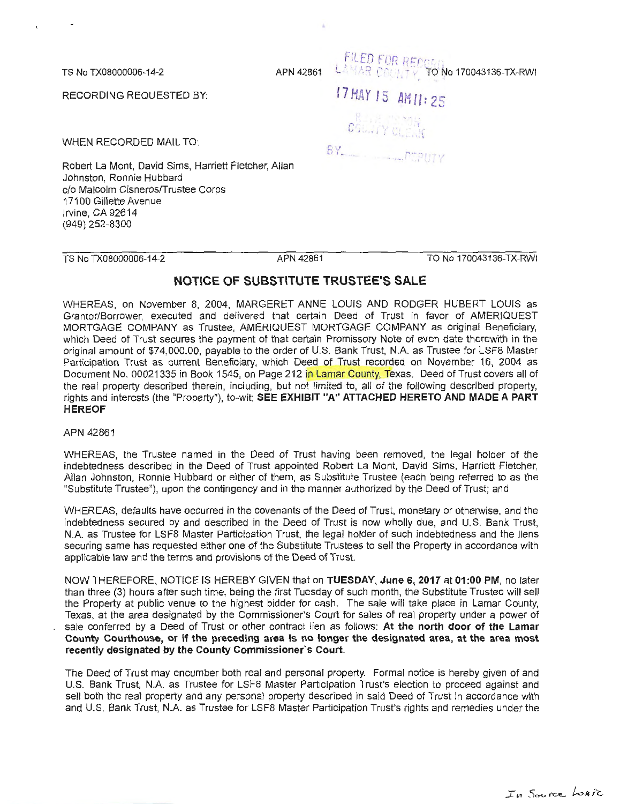TS No TX08000006-14-2

RECORDING REQUESTED BY:

WHEN RECORDED MAIL TO:

Robert La Mont, David Sims, Harriett Fletcher, Allan Johnston, Ronnie Hubbard c/o Malcolm Cisneros/Trustee Corps 17100 Gillette Avenue Irvine, CA 92614 (949) 252-8300

TS No TX08000006-14-2 APN 42861

TO No 170043136-TX-RWI

**FILED FOR RECORD** APN 42861 LAMAR COLLEY TO No 170043136-TX-RWI

I 7 Y I S **AM 11** : 2 S

C FORM AND CLEAN

*CJ*  (..) I - . .. .. .

## **NOTICE OF SUBSTITUTE TRUSTEE'S SALE**

WHEREAS, on November 8, 2004, MARGERET ANNE LOUIS AND RODGER HUBERT LOUIS as Granter/Borrower, executed and delivered that certain Deed of Trust in favor of AMERIQUEST MORTGAGE COMPANY as Trustee, AMERIQUEST MORTGAGE COMPANY as original Beneficiary, which Deed of Trust secures the payment of that certain Promissory Note of even date therewith in the original amount of \$74,000.00, payable to the order of U.S. Bank Trust, N.A. as Trustee for LSF8 Master Participation Trust as current Beneficiary, which Deed of Trust recorded on November 16, 2004 as Document No. 00021335 in Book 1545, on Page 212 in Lamar County, Texas. Deed of Trust covers all of the real property described therein, including, but not limited to, all of the following described property, rights and interests (the "Property"), to-wit: **SEE EXHIBIT "A" ATTACHED HERETO AND MADE A PART HEREOF** 

## APN 42861

WHEREAS, the Trustee named in the Deed of Trust having been removed, the legal holder of the indebtedness described in the Deed of Trust appointed Robert La Mont, David Sims, Harriett Fletcher, Allan Johnston, Ronnie Hubbard or either of them, as Substitute Trustee (each being referred to as the "Substitute Trustee"), upon the contingency and in the manner authorized by the Deed of Trust; and

WHEREAS, defaults have occurred in the covenants of the Deed of Trust, monetary or otherwise, and the indebtedness secured by and described in the Deed of Trust is now wholly due, and U.S. Bank Trust, N.A. as Trustee for LSF8 Master Participation Trust, the legal holder of such indebtedness and the liens securing same has requested either one of the Substitute Trustees to sell the Property in accordance with applicable law and the terms and provisions of the Deed of Trust.

NOW THEREFORE, NOTICE IS HEREBY GIVEN that on **TUESDAY, June 6, 2017 at 01 :00 PM,** no later than three (3) hours after such time, being the first Tuesday of such month, the Substitute Trustee will sell the Property at public venue to the highest bidder for cash. The sale will take place in Lamar County, Texas, at the area designated by the Commissioner's Court for sales of real property under a power of sale conferred by a Deed of Trust or other contract lien as follows: **At the north door of the Lamar County Courthouse, or if the preceding area Is no longer the designated area, at the area most recently designated by the County Commissioner's Court.** 

The Deed of Trust may encumber both real and personal property. Formal notice is hereby given of and U.S. Bank Trust, N.A. as Trustee for LSF8 Master Participation Trust's election to proceed against and sell both the real property and any personal property described in said Deed of Trust in accordance with and U.S. Bank Trust, N.A. as Trustee for LSF8 Master Participation Trust's rights and remedies under the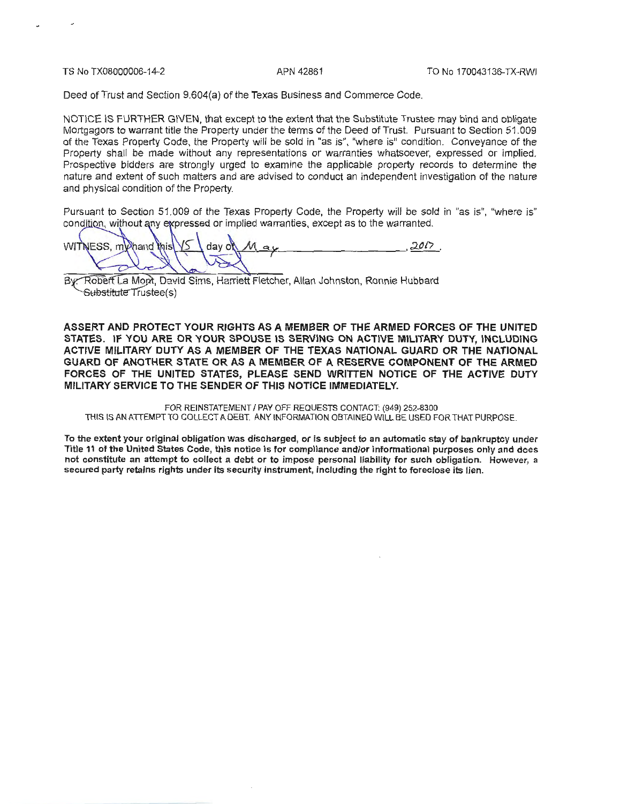TS No TX08000006-14-2 APN 42861 TO No 170043136-TX-RWI

Deed of Trust and Section 9.604(a) of the Texas Business and Commerce Code.

NOTICE IS FURTHER GIVEN, that except to the extent that the Substitute Trustee may bind and obligate Mortgagors to warrant title the Property under the terms of the Deed of Trust. Pursuant to Section 51 .009 of the Texas Property Code, the Property will be sold in "as is", "where is" condition. Conveyance of the Property shall be made without any representations or warranties whatsoever, expressed or implied. Prospective bidders are strongly urged to examine the applicable property records to determine the nature and extent of such matters and are advised to conduct an independent investigation of the nature and physical condition of the Property.

Pursuant to Section 51.009 of the Texas Property Code, the Property will be sold in "as is", "where is" condition, without any expressed or implied warranties, except as to the warranted.

 $\alpha$ WITNESS, my hand this  $d$ av $o$ 

By: Robert La Mont, David Sims, Harriett Fletcher, Allan Johnston, Ronnie Hubbard Substitute Trustee(s)

ASSERT AND PROTECT YOUR RIGHTS AS A MEMBER OF THE ARMED FORCES OF THE UNITED STATES. IF YOU ARE OR YOUR SPOUSE IS SERVING ON ACTIVE MILITARY DUTY, INCLUDING ACTIVE MILITARY DUTY AS A MEMBER OF THE TEXAS NATIONAL GUARD OR THE NATIONAL GUARD OF ANOTHER STATE OR AS A MEMBER OF A RESERVE COMPONENT OF THE ARMED FORCES OF THE UNITED STATES, PLEASE SEND WRITTEN NOTICE OF THE ACTIVE DUTY MILITARY SERVICE TO THE SENDER OF THIS NOTICE IMMEDIATELY.

FOR REINSTATEMENT I PAY OFF REQUESTS CONTACT: (949) 252-8300 THIS IS AN ATTEMPT TO COLLECT A DEBT. ANY INFORMATION OBTAINED WILL BE USED FOR THAT PURPOSE.

To the extent your original obligation was discharged, or is subject to an automatic stay of bankruptcy under Title 11 of the United States Code, this notice is for compliance and/or informational purposes only and does not constitute an attempt to collect a debt or to impose personal liability for such obligation. However, a secured party retains rights under its security instrument, including the right to foreclose its lien.